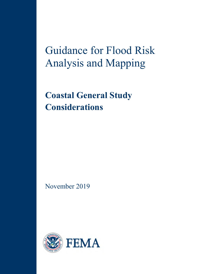Guidance for Flood Risk Analysis and Mapping

**Coastal General Study Considerations**

November 2019

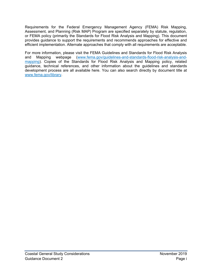Requirements for the Federal Emergency Management Agency (FEMA) Risk Mapping, Assessment, and Planning (Risk MAP) Program are specified separately by statute, regulation, or FEMA policy (primarily the Standards for Flood Risk Analysis and Mapping). This document provides guidance to support the requirements and recommends approaches for effective and efficient implementation. Alternate approaches that comply with all requirements are acceptable.

For more information, please visit the [FEMA Guidelines and Standards for Flood Risk Analysis](http://www.fema.gov/guidelines-and-standards-flood-risk-analysis-and-mapping))  [and Mapping](http://www.fema.gov/guidelines-and-standards-flood-risk-analysis-and-mapping)) webpage [\(www.fema.gov/guidelines-and-standards-flood-risk-analysis-and](http://www.fema.gov/guidelines-and-standards-flood-risk-analysis-and-mapping)[mapping\)](http://www.fema.gov/guidelines-and-standards-flood-risk-analysis-and-mapping). Copies of the Standards for Flood Risk Analysis and Mapping policy, related guidance, technical references, and other information about the guidelines and standards development process are all available here. You can also search directly by document title at [www.fema.gov/library.](http://www.fema.gov/library)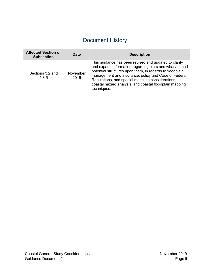# Document History

| <b>Affected Section or</b><br><b>Subsection</b> | <b>Date</b>      | <b>Description</b>                                                                                                                                                                                                                                                                                                                                                 |  |  |  |
|-------------------------------------------------|------------------|--------------------------------------------------------------------------------------------------------------------------------------------------------------------------------------------------------------------------------------------------------------------------------------------------------------------------------------------------------------------|--|--|--|
| Sections 3.2 and<br>4.8.5                       | November<br>2019 | This guidance has been revised and updated to clarify<br>and expand information regarding piers and wharves and<br>potential structures upon them, in regards to floodplain<br>management and insurance, policy and Code of Federal<br>Regulations, and special modeling considerations,<br>coastal hazard analysis, and coastal floodplain mapping<br>techniques. |  |  |  |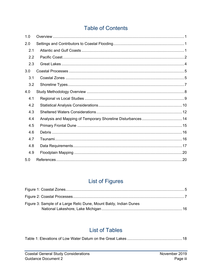# **Table of Contents**

| 1.0 |  |
|-----|--|
| 2.0 |  |
| 2.1 |  |
| 2.2 |  |
| 2.3 |  |
| 3.0 |  |
| 3.1 |  |
| 3.2 |  |
| 4.0 |  |
| 4.1 |  |
| 4.2 |  |
| 4.3 |  |
| 4.4 |  |
| 4.5 |  |
| 4.6 |  |
| 4.7 |  |
| 4.8 |  |
| 4.9 |  |
| 5.0 |  |

# **List of Figures**

| Figure 3: Sample of a Large Relic Dune, Mount Baldy, Indian Dunes |  |
|-------------------------------------------------------------------|--|
|                                                                   |  |

# **List of Tables**

|--|--|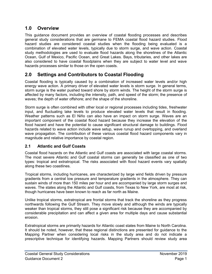# <span id="page-4-0"></span>**1.0 Overview**

This guidance document provides an overview of coastal flooding processes and describes general study considerations that are germane to FEMA coastal flood hazard studies. Flood hazard studies are considered coastal studies when the flooding being evaluated is a combination of elevated water levels, typically due to storm surge, and wave action. Coastal study methodologies are used to evaluate flood hazards along the shorelines of the Atlantic Ocean, Gulf of Mexico, Pacific Ocean, and Great Lakes. Bays, tributaries, and other lakes are also considered to have coastal floodplains when they are subject to water level and wave hazards processes similar to those on the open coasts.

# <span id="page-4-1"></span>**2.0 Settings and Contributors to Coastal Flooding**

Coastal flooding is typically caused by a combination of increased water levels and/or high energy wave action. A primary driver of elevated water levels is storm surge. In general terms, storm surge is the water pushed toward shore by storm winds. The height of the storm surge is affected by many factors, including the intensity, path, and speed of the storm; the presence of waves; the depth of water offshore; and the shape of the shoreline.

Storm surge is often combined with other local or regional processes including tides, freshwater input, and fluctuating lake levels to produce elevated water levels that result in flooding. Weather patterns such as El Niño can also have an impact on storm surge. Waves are an important component of the coastal flood hazard because they increase the elevation of the flood hazard and have the potential to cause significant structural damage to buildings. Flood hazards related to wave action include wave setup, wave runup and overtopping, and overland wave propagation. The contribution of these various coastal flood hazard components vary in magnitude and relative importance by coastal region.

## <span id="page-4-2"></span>**2.1 Atlantic and Gulf Coasts**

Coastal flood hazards on the Atlantic and Gulf coasts are associated with large coastal storms. The most severe Atlantic and Gulf coastal storms can generally be classified as one of two types: tropical and extratropical. The risks associated with flood hazard events vary spatially along these two coastlines.

Tropical storms, including hurricanes, are characterized by large wind fields driven by pressure gradients from a central low pressure and temperature gradients in the atmosphere. They can sustain winds of more than 150 miles per hour and are accompanied by large storm surges and waves. The states along the Atlantic and Gulf coasts, from Texas to New York, are most at risk, though hurricanes have been known to reach as far north as Maine.

Unlike tropical storms, extratropical are frontal storms that track the shoreline as they progress northwards following the Gulf Stream. They move slowly and although the winds are typically weaker than tropical storms, they still pose a significant risk because they are accompanied by considerable precipitation and can affect a given area for multiple days and cause substantial erosion.

Extratropical storms are primarily hazards for Atlantic coast states from Maine to North Carolina. It should be noted, however, that these regional distinctions are presented for guidance to the Mapping Partner when considering local risks in the study area and do not indicate a prescriptive technique for identifying hazards. Mapping Partners should review study area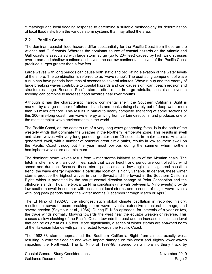climatology and local flooding response to determine a suitable methodology for determination of local flood risks from the various storm systems that may affect the area.

# <span id="page-5-0"></span>**2.2 Pacific Coast**

The dominant coastal flood hazards differ substantially for the Pacific Coast from those on the Atlantic and Gulf coasts. Whereas the dominant source of coastal hazards on the Atlantic and Gulf coasts is associated with large storm surge (up to 20+ feet) caused by high wind stresses over broad and shallow continental shelves, the narrow continental shelves of the Pacific Coast preclude surges greater than a few feet.

Large waves with long periods can cause both static and oscillating elevation of the water levels at the shore. The combination is referred to as "wave runup". The oscillating component of wave runup can have periods from tens of seconds to several minutes. Wave runup and the energy of large breaking waves contribute to coastal hazards and can cause significant beach erosion and structural damage. Because Pacific storms often result in large rainfalls, coastal and riverine flooding can combine to increase flood hazards near river mouths.

Although it has the characteristic narrow continental shelf, the Southern California Bight is marked by a large number of offshore islands and banks rising sharply out of deep water more than 60 miles offshore. This results in partial to nearly complete sheltering of some sections of this 200-mile-long coast from wave energy arriving from certain directions, and produces one of the most complex wave environments in the world.

The Pacific Coast, on the eastern rim of a very long wave-generating fetch, is in the path of the westerly winds that dominate the weather in the Northern Temperate Zone. This results in swell and storm waves with very long periods, greater than 20 seconds in major storms. Antarcticgenerated swell, with a number of potential great circle paths, results in low southern swell on the Pacific Coast throughout the year, most obvious during the summer when northern hemisphere waves are at a minimum.

The dominant storm waves result from winter storms initiated south of the Aleutian chain. The fetch is often more than 600 miles, such that wave height and period are controlled by wind speed and duration. Because these storm paths are at a low angle to the general coastline trend, the wave energy impacting a particular location is highly variable. In general, these winter storms produce the highest waves in the northwest and the lowest in the Southern California Bight, which is protected by the abrupt coastal direction change at Point Conception and the offshore islands. Thus, the typical La Niña conditions (intervals between El Niño events) provide low southern swell in summer with occasional local storms and a series of major wave events with long peak periods during the winter months (December through March or April.)

The El Niño of 1982-83, the strongest such global climate oscillation in recorded history, resulted in several record-breaking storm wave events, extensive structural damage, and severe erosion (Seymour et al., 1984). During El Niño episodes, for intervals of a year or two, the trade winds normally blowing towards the west near the equator weaken or reverse. This causes a slow sloshing of the Pacific Ocean towards the east and an increase in local sea level that can be as great as 1.5 feet. More significantly, a series of winter storms are spawned north of the Hawaiian Islands with paths directed towards the Pacific Coast.

The 1982-83 storms approached the Southern California Bight from almost exactly west, resulting in extreme flooding and wave impact damage on this coast and slightly lower waves impacting the Northwest. The El Niño of 1997-98, steered on a more northerly track by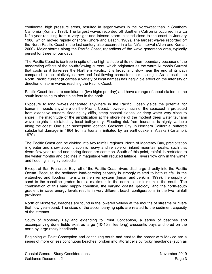continental high pressure areas, resulted in larger waves in the Northwest than in Southern California (Komar, 1998). The largest waves recorded off Southern California occurred in a La Niña year resulting from a very tight and intense storm initiated close to the coast in January 1988, which moved rapidly onshore (Shore and Beach, 1989). The largest waves recorded off the North Pacific Coast in the last century also occurred in a La Niña interval (Allen and Komar, 2000). Major storms along the Pacific Coast, regardless of the wave generation area, typically persist for three to four days.

The Pacific Coast is ice-free in spite of the high latitude of its northern boundary because of the moderating effects of the south-flowing current, which originates as the warm Kuroshio Current that cools as it traverses the Northern Pacific. It is broad and slow near the end of its path compared to the relatively narrow and fast-flowing character near its origin. As a result, the North Pacific current (it carries a variety of local names) has negligible effect on the intensity or direction of storm waves reaching the Pacific Coast.

Pacific Coast tides are semidiurnal (two highs per day) and have a range of about six feet in the south increasing to about nine feet in the north.

Exposure to long waves generated anywhere in the Pacific Ocean yields the potential for tsunami impacts anywhere on the Pacific Coast; however, much of the seacoast is protected from extensive tsunami flooding by cliffs, steep coastal slopes, or deep water very close to shore. The magnitude of the amplification at the shoreline of the modest deep water tsunami wave heights is dictated by local bathymetry. Flooding risk from tsunamis is highly variable along the coast. One such susceptible location, Crescent City, in Northern California, suffered substantial damage in 1964 from a tsunami initiated by an earthquake in Alaska (Kanamori, 1970).

The Pacific Coast can be divided into two rainfall regimes. North of Monterey Bay, precipitation is greater and snow accumulation is heavy and reliable on inland mountain peaks, such that rivers flow year-round and spring floods are common. South of this point, rainfall is restricted to the winter months and declines in magnitude with reduced latitude. Rivers flow only in the winter and flooding is highly episodic.

Except at San Francisco Bay, all of the Pacific Coast rivers discharge directly into the Pacific Ocean. Because the sediment load-carrying capacity is strongly related to both rainfall in the watershed and flooding intensity in the river system (Inman and Jenkins, 1999), the supply of sand to the coastline grades from a maximum in the north to a minimum in the south. The combination of this sand supply condition, the varying coastal geology, and the north-south gradient in wave energy levels results in very different beach configurations in the two rainfall provinces.

North of Monterey, beaches are found in the lowered valleys at the mouths of streams or rivers that flow year-round. The sizes of the accompanying spits are related to the sediment capacity of the streams.

South of Monterey Bay and extending to Point Conception, a series of beaches and accompanying dune fields exist as large (10-15 miles long) crescentic bays anchored on the north by large rocky headlands.

Beginning at Point Conception and continuing south and east to the border with Mexico are a series of more or less continuous beaches, broken into littoral cells by rocky headlands (such as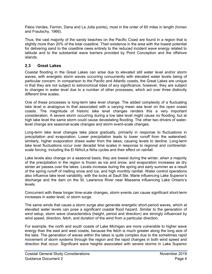Palos Verdes, Fermin, Dana and La Jolla points), most in the order of 60 miles in length (Inman and Frautschy, 1966).

Thus, the vast majority of the sandy beaches on the Pacific Coast are found in a region that is slightly more than 20% of the total coastline. Their existence in the area with the lowest potential for delivering sand to the coastline owes entirely to the reduced incident wave energy related to latitude and to the substantial wave barriers provided by Point Conception and the offshore islands.

## <span id="page-7-0"></span>**2.3 Great Lakes**

Coastal flooding in the Great Lakes can arise due to elevated still water level and/or storm waves, with energetic storm waves occurring concurrently with elevated water levels being of particular concern. In comparison to the Pacific and Atlantic coasts, the Great Lakes are unique in that they are not subject to astronomical tides of any significance; however, they are subject to changes in water level due to a number of other processes, which act over three distinctly different time scales.

One of these processes is long-term lake level change. The added complexity of a fluctuating lake level is analogous to that associated with a varying mean sea level on the open ocean coasts. The magnitude of historic lake level changes renders this a very important consideration. A severe storm occurring during a low lake level might cause no flooding, but at high lake level the same storm could cause devastating flooding. The other two drivers of waterlevel change are seasonal-scale changes and storm event-scale changes.

Long-term lake level changes take place gradually, primarily in response to fluctuations in precipitation and evaporation. Lower precipitation leads to lower runoff from the watershed; similarly, higher evaporation draws water from the lakes, causing levels to decline. Long-term lake level fluctuations occur over decadal time scales in response to regional and continentalscale forcing, including the El Niño/La Niña cycles and their effect on rainfall.

Lake levels also change on a seasonal basis; they are lowest during the winter, when a majority of the precipitation in the region is frozen as ice and snow, and evaporation increases as dry winter air passes over the lakes. Levels increase during the spring and early summer as a result of the spring runoff of melting snow and ice, and high monthly rainfall. Water control operations also influence lake level variability, with the locks at Sault Ste. Marie influencing Lake Superior's discharge and the dam on the St. Lawrence River near Massena influencing Lake Ontario's levels.

Concurrent with these longer time-scale changes, storm events can cause significant short-term increases in water level, or storm surge.

The same winds that cause a storm surge also generate energetic short-period waves, which at elevated water levels can pose a significant coastal flood hazard. Similar to the generation of wind setup, storm wave characteristics (height, period and direction) are strongly influenced by wind speed, direction, fetch, and duration of the wind from a particular direction.

For example, the north and south coasts of Lake Michigan are more vulnerable to higher wave energy than the east and west coasts, because the fetch is much greater along the long axis of the lake. The generation of waves within the lakes is quite complex due to the sometimes rapid movement of storm systems through the region and the rapid changes in both wind speed and direction that occur. Significant wave heights associated with severe storms in Lake Superior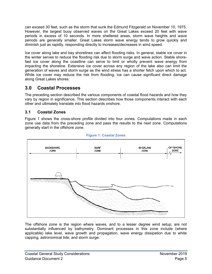can exceed 30 feet, such as the storm that sunk the Edmund Fitzgerald on November 10, 1975. However, the largest buoy observed waves on the Great Lakes exceed 20 feet with wave periods in excess of 10 seconds. In more sheltered areas, storm wave heights and wave periods are generally smaller. Great Lakes storm wave energy tends to grow quickly and diminish just as rapidly, responding directly to increases/decreases in wind speed.

Ice cover along lake and bay shorelines can affect flooding risks. In general, stable ice cover in the winter serves to reduce the flooding risk due to storm surge and wave action. Stable shorefast ice cover along the coastline can serve to limit or wholly prevent wave energy from impacting the shoreline. Extensive ice cover across any region of the lake also can limit the generation of waves and storm surge as the wind stress has a shorter fetch upon which to act. While ice cover may reduce the risk from flooding, ice can cause significant direct damage along Great Lakes shores.

# <span id="page-8-0"></span>**3.0 Coastal Processes**

The preceding section described the various components of coastal flood hazards and how they vary by region in significance. This section describes how those components interact with each other and ultimately translate into flood hazards onshore.

# <span id="page-8-1"></span>**3.1 Coastal Zones**

Figure 1 shows the cross-shore profile divided into four zones. Computations made in each zone use data from the preceding zone and pass the results to the next zone. Computations generally start in the offshore zone.

<span id="page-8-2"></span>

#### **Figure 1: Coastal Zones**

The offshore zone is the region where waves, and to a lesser degree wind setup, are not substantially influenced by bathymetry. Dominant processes in this zone include (where applicable) lake level, wave growth and propagation, wave energy dissipation due to white capping, astronomical tide, and storm surge.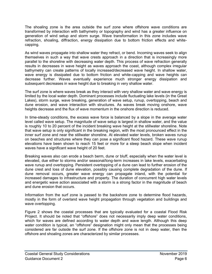<span id="page-9-0"></span>The shoaling zone is the area outside the surf zone where offshore wave conditions are transformed by interaction with bathymetry or topography and wind has a greater influence on generation of wind setup and storm surge. Wave transformation in this zone includes wave refraction, shoaling, diffraction, energy dissipation due to bottom friction effects and whitecapping.

As wind waves propagate into shallow water they refract, or bend. Incoming waves seek to align themselves in such a way that wave crests approach in a direction that is increasingly more parallel to the shoreline with decreasing water depth. This process of wave refraction generally results in decreases in wave height as waves approach the coast, although complex irregular bathymetry can create patterns of locally increased/decreased wave height. In shallow water, wave energy is dissipated due to bottom friction and white-capping and wave heights can decrease further. Waves eventually experience much stronger energy dissipation and subsequent decreases in wave height due to breaking in very shallow water.

The surf zone is where waves break as they interact with very shallow water and wave energy is limited by the local water depth. Dominant processes include fluctuating lake levels (in the Great Lakes), storm surge, wave breaking, generation of wave setup, runup, overtopping, beach and dune erosion, and wave interaction with structures. As waves break moving onshore, wave heights decrease and the flux of wave momentum in the onshore direction is reduced.

In time-steady conditions, the excess wave force is balanced by a slope in the average water level called wave setup. The magnitude of wave setup is largest in shallow water, and the value is roughly 10 to 20 percent of the incident breaking wave height at the stillwater shoreline. Note that wave setup is only significant in the breaking region, with the most pronounced effect in the inner surf zone and near the stillwater shoreline. At elevated water levels, broken waves runup on beaches and structures where they can pose a significant flood hazard. These wave runup elevations have been shown to reach 15 feet or more for a steep beach slope when incident waves have a significant wave height of 20 feet.

Breaking waves also can erode a beach berm, dune or bluff, especially when the water level is elevated, due either to storms and/or seasonal/long-term increases in lake levels, exacerbating wave runup and overtopping. Persistent overtopping of a dune can lead to further erosion of the dune crest and loss of dune elevation, possibly causing complete degradation of the dune. If dune removal occurs, greater wave energy can propagate inland, with the potential for increased damages to infrastructure and property. The duration of concurrent high water levels and energetic wave action associated with a storm is a strong factor in the magnitude of beach and dune erosion that occurs.

Information from the surf zone is passed to the backshore zone to determine flood hazards, mostly in the form of overland wave height propagation through vegetation and buildings and wave overtopping.

Figure 2 shows the coastal processes that are typically evaluated for a coastal Flood Risk Project. It should be noted that "offshore" does not necessarily imply deep water conditions, which for waves are defined according to water depth and wave length. Although this deep water condition is typical, an "offshore" designation might only mean that the processes being considered are far outside the surf zone. If the offshore zone is not in deep water, then the offshore and shoaling zones are characterized by similar processes.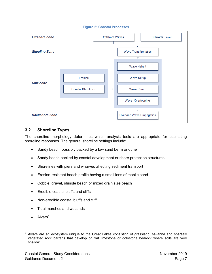#### **Figure 2: Coastal Processes**



#### <span id="page-10-0"></span>**3.2 Shoreline Types**

The shoreline morphology determines which analysis tools are appropriate for estimating shoreline responses. The general shoreline settings include:

- Sandy beach, possibly backed by a low sand berm or dune
- Sandy beach backed by coastal development or shore protection structures
- Shorelines with piers and wharves affecting sediment transport
- Erosion-resistant beach profile having a small lens of mobile sand
- Cobble, gravel, shingle beach or mixed grain size beach
- Erodible coastal bluffs and cliffs
- Non-erodible coastal bluffs and cliff
- Tidal marshes and wetlands
- Alvars<sup>1</sup>

 $\overline{a}$ 

<sup>&</sup>lt;sup>1</sup> Alvars are an ecosystem unique to the Great Lakes consisting of grassland, savanna and sparsely vegetated rock barrens that develop on flat limestone or dolostone bedrock where soils are very shallow.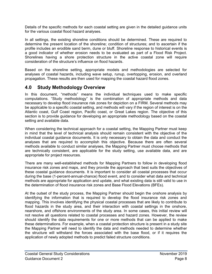Details of the specific methods for each coastal setting are given in the detailed guidance units for the various coastal flood hazard analyses.

In all settings, the existing shoreline conditions should be determined. These are required to determine the present location of the shoreline; condition of structures; and to ascertain if the profile includes an erodible sand berm, dune or bluff. Shoreline response to historical events is a good indicator of whether erosion needs to be evaluated as part of a Flood Risk Project. Shorelines having a shore protection structure in the active coastal zone will require consideration of the structure's influence on flood hazards.

Based on the shoreline setting, appropriate models and methodologies are selected for analyses of coastal hazards, including wave setup, runup, overtopping, erosion, and overland propagation. These results are then used for mapping the coastal hazard flood zones.

# <span id="page-11-0"></span>**4.0 Study Methodology Overview**

In this document, "methods" means the individual techniques used to make specific computations. "Study methodology" is the combination of appropriate methods and data necessary to develop flood insurance risk zones for depiction on a FIRM. Several methods may be applicable to a specific coastal setting, and methods will vary if the region of interest is on the Atlantic coast, Gulf Coast region, Pacific coast, or Great Lakes region. The objective of this section is to provide guidance for developing an appropriate methodology based on the coastal setting and available data.

When considering the technical approach for a coastal setting, the Mapping Partner must keep in mind that the level of technical analysis should remain consistent with the objective of the individual coastal guidance documents. It is only necessary to obtain the data and conduct the analyses that are required to accomplish this objective. Because there are often several methods available to conduct similar analyses, the Mapping Partner must choose methods that are technically consistent, are applicable for the study setting, use available data, and are appropriate for project resources.

There are many well-established methods for Mapping Partners to follow in developing flood insurance risk zones and maps, and they provide the approach that best suits the objectives of these coastal guidance documents. It is important to consider all coastal processes that occur during the base (1-percent-annual-chance) flood event, and to consider what data and technical methods are appropriate for application and update, and what existing data is still valid to use in the determination of flood insurance risk zones and Base Flood Elevations (BFEs).

At the outset of the study process, the Mapping Partner should begin the onshore analysis by identifying the information that is required to develop the flood insurance risk zones and mapping. This involves identifying the physical coastal processes that are likely to contribute to flood hazards in the study area, and their interaction with coastal settings in the onshore, nearshore, and offshore environments of the study area. In some cases, this initial review will not resolve all questions related to coastal processes and hazard zones. However, the review should identify the data requirements for one or more methods that can be applied to make these determinations. For example, when a coastal protection structure is present in a study site the Mapping Partner will need to identify the data and methods needed to determine whether the structure will withstand the forces associated with the base flood, or if it requires the application of newly adopted methods to predict failed structure conditions.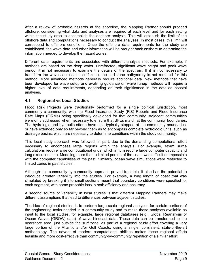After a review of probable hazards at the shoreline, the Mapping Partner should proceed offshore, considering what data and analyses are required at each level and for each setting within the study area to accomplish the onshore analysis. This will establish the limit of the offshore data and computations necessary to conduct the analyses. In most cases, this limit will correspond to offshore conditions. Once the offshore data requirements for the study are established, the wave data and other information will be brought back onshore to determine the information needed to develop the hazard zones.

Different data requirements are associated with different analysis methods. For example, if methods are based on the deep water, unrefracted, significant wave height and peak wave period, it is not necessary to examine the details of the spectrum. If it is not necessary to transform the waves across the surf zone, the surf zone bathymetry is not required for this method. More advanced methods generally require additional data. New methods that have been developed for wave setup and evolving guidance on wave runup methods will require a higher level of data requirements, depending on their significance in the detailed coastal analyses.

# <span id="page-12-0"></span>**4.1 Regional vs Local Studies**

Flood Risk Projects were traditionally performed for a single political jurisdiction, most commonly a community, with the Flood Insurance Study (FIS) Reports and Flood Insurance Rate Maps (FIRMs) being specifically developed for that community. Adjacent communities were only addressed when necessary to ensure that BFEs match at the community boundaries. The hydrologic and hydraulic efforts have also typically stopped at the community boundaries, or have extended only so far beyond them as to encompass complete hydrologic units, such as drainage basins, which are necessary to determine conditions within the study community.

This local study approach was followed, in part, due to the demanding computational effort necessary to encompass large regions within the analysis. For example, storm surge calculations require large computational grids, which in turn require large computer capacity and long execution time. Modeling more than a limited portion of the coast was difficult or impossible with the computer capabilities of the past. Similarly, ocean wave simulations were restricted to limited zones in past studies.

Although this community-by-community approach proved tractable, it also had the potential to introduce greater variability into the studies. For example, a long length of coast that was simulated by breaking it into small sections meant that boundary conditions were specified for each segment, with some probable loss in both efficiency and accuracy.

A second source of variability in local studies is that different Mapping Partners may make different assumptions that lead to differences between adjacent studies.

The idea of regional studies is to perform large-scale regional analyses for certain portions of the engineering tasks needed in a community study and to make these analyses available as input to the local studies, for example, large regional databases (e.g., Global Reanalysis of Ocean Waves [GROW] data) of wave hindcast data. These data can be transformed to the nearshore area, just outside the surf zone, as part of a regional study effort covering a very large portion of the Atlantic and/or Gulf Coasts, using a single, consistent, state-of-the-art methodology. The advent of modern computational abilities makes these regional efforts feasible and more cost-effective than community-by-community repetition of a similar effort.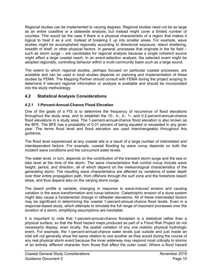Regional studies can be implemented to varying degrees. Regional studies need not be as large as an entire coastline or a statewide analysis, but instead might cover a limited number of counties. This would be the case if there is a physical characteristic of a region that makes it logical to treat it as a unit, instead of breaking it up into smaller areas. For example, wave studies might be accomplished regionally according to directional exposure, island sheltering, breadth of shelf, or other physical factors. In general, processes that originate in the far field – such as storm surge – are candidates for regional analysis because a single coherent source might affect a large coastal reach. In an event-selection analysis, the selected event might be adopted regionally, controlling behavior within a multi-community basin such as a large sound.

The extent to which regional studies, perhaps focused on particular coastal processes, are available and can be used in local studies depends on planning and implementation of these studies by FEMA. The Mapping Partner should consult with FEMA during the project scoping to determine if relevant regional information or analysis is available and should be incorporated into the study methodology.

## <span id="page-13-0"></span>**4.2 Statistical Analysis Considerations**

### **4.2.1 1-Percent-Annual-Chance Flood Elevation**

One of the goals of a FIS is to determine the frequency of recurrence of flood elevations throughout the study area, and to establish the 10-, 4-, 2-, 1-, and 0.2-percent-annual-chance flood elevations in a study area. The 1-percent-annual-chance flood elevation is also known as the BFE. The BFE has a probability of 0.01 percent of being equaled or exceeded in any given year. The terms flood level and flood elevation are used interchangeably throughout this guidance.

The flood level experienced at any coastal site is a result of a large number of interrelated and interdependent factors. For example, coastal flooding by wave runup depends on both the incident wave conditions and the concurrent water levels.

The water level, in turn, depends on the contribution of the transient storm surge and the sea or lake level at the time of the storm. The wave characteristics that control runup include wave height, period, and direction, all of which depend on the meteorological characteristics of the generating storm. The resulting wave characteristics are affected by variations of water depth over their entire propagation path, from offshore through the surf zone and the foreshore beach slope, and thus depend also on the varying storm surge.

The beach profile is variable, changing in response to wave-induced erosion and causing variation in the wave transformation and runup behavior. Catastrophic erosion of a dune system might also cause a fundamental change in stillwater elevations. All of these interrelated factors may be significant in determining the coastal 1-percent-annual-chance flood levels. Even in a response-based study, which attempts to simulate the full range of important processes over the duration of a storm, simplifying assumptions are inevitable.

It is important to note that 1-percent-annual-chance floodplain is a statistical rather than a physical surface, so that the flood hazard maps produced as part of a Flood Risk Project do not necessarily display, even locally, the spatial variation of any one realistic physical hydrologic event. For example, the 1-percent-annual-chance water levels just outside and just inside an inlet will not generally show the same relation to one another as they would during the course of any real physical storm event because the inner waterway may respond most critically to storms of an entirely different character from those that affect the outer coast. Where a flood hazard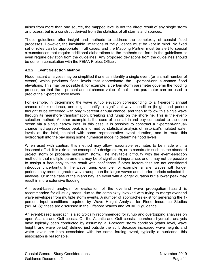arises from more than one source, the mapped level is not the direct result of any single storm or process, but is a construct derived from the statistics of all storms and sources.

These guidelines offer insight and methods to address the complexity of coastal flood processes. However, the inevitable limitations of the guidance must be kept in mind. No fixed set of rules can be appropriate in all cases, and the Mapping Partner must be alert to special circumstances that require additional elaborations to the methods set forth in the guidelines or even require deviation from the guidelines. Any proposed deviations from the guidelines should be done in consultation with the FEMA Project Officer.

#### **4.2.2 Event Selection Method**

Flood hazard analyses may be simplified if one can identify a single event (or a small number of events) which produces flood levels that approximate the 1-percent-annual-chance flood elevations. This may be possible if, for example, a certain storm parameter governs the flooding process, so that the 1-percent-annual-chance value of that storm parameter can be used to predict the 1-percent flood levels.

For example, in determining the wave runup elevation corresponding to a 1-percent annual chance of exceedance, one might identify a significant wave condition (height and period) thought to be exceeded with only 1-percent annual chance, and then to follow this single wave through its nearshore transformation, breaking and runup on the shoreline. This is the eventselection method. Another example is the case of a small inland bay connected to the open ocean via a single narrow inlet. In this case, it is possible to construct a 1-percent-annualchance hydrograph whose peak is informed by statistical analysis of historical/simulated water levels at the inlet, coupled with some representative event duration, and to route this hydrograph into the bay using some numerical model to determine flood levels.

When used with caution, this method may allow reasonable estimates to be made with a lessened effort. It is akin to the concept of a design storm, or to constructs such as the standard project storm or probable maximum storm. The inevitable difficulty with the event-selection method is that multiple parameters may be of significant importance, and it may not be possible to assign a frequency to the result with confidence if other factors that are not considered introduce uncertainty. In the wave runup example, for example, smaller waves with longer periods may produce greater wave runup than the larger waves and shorter periods selected for analysis. Or in the case of the inland bay, an event with a longer duration but a lower peak may result in more extensive flooding.

An event-based analysis for evaluation of the overland wave propagation hazard is recommended for all study areas, due to the complexity involved with trying to merge overland wave envelopes from multiple storm events. A number of approaches exist for generating the 1 percent input conditions required by Wave Height Analysis for Flood Insurance Studies (WHAFIS); these are discussed in the Offshore Waves and WHAFIS guidance.

An event-based approach is also typically recommended for runup and overtopping analyses on open Atlantic and Gulf coasts. On the Atlantic and Gulf coasts, nearshore hydraulic analysis have typically been conducted by assuming a 1-percent storm condition (water level, wave height, and wave period) defined just outside the surf. Because increased wave heights and water levels are both associated with the same forcing event, typically a hurricane, this association is reasonable.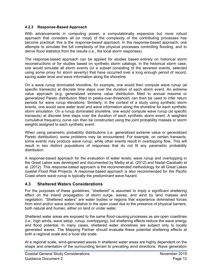#### **4.2.3 Response-Based Approach**

With advancements in computing power, a computationally expensive but more robust approach that considers all (or most) of the complexity of the contributing processes has become practical; this is the *response-based approach*. In the response-based approach, one attempts to simulate the full complexity of the physical processes controlling flooding, and to derive flood statistics from the results (i.e., the local storm responses).

The response-based approach can be applied for studies based entirely on historical storm reconstructions or for studies based on synthetic storm catalogs. In the historical storm case, one would simulate all storm events (or a subset consisting of the severest events, selected using some proxy for storm severity) that have occurred over a long enough period of record, saving water level and wave information along the shoreline.

On a wave runup dominated shoreline, for example, one would then compute wave runup (at specific transects) at discrete time steps over the duration of each storm event. An extreme value approach (e.g. generalized extreme value distribution fitted to annual maxima or generalized Pareto distribution fitted to peaks-over-threshold) can then be used to infer return periods for wave runup elevations. Similarly, in the context of a study using synthetic storm events, one would save water level and wave information along the shoreline for each synthetic storm simulation. On a runup dominated shoreline, one would compute wave runup (at specific transects) at discrete time steps over the duration of each synthetic storm event. A weighted cumulative frequency curve can then be constructed using the joint probability masses or storm weights assigned to each synthetic event.

When using parametric probability distributions (i.e. generalized extreme value or generalized Pareto distribution), some problems may be encountered. For example, on certain transects, some events may produce wave runup, while other events result in overtopping flow. This will result in two distinct populations of responses that do not fit any parametric probability distribution.

A response-based approach for the evaluation of water levels, wave runup and overtopping in the Great Lakes was developed and documented by Melby et al. (2012) and Nadal-Caraballo et al. (2012). This response-based approach is the recommended methodology for all Great Lakes coastal Flood Risk Projects. A response-based approach is also recommended for the Pacific Coast where wave runup is typically the predominant wave hazard.

#### <span id="page-15-0"></span>**4.3 Sheltered Waters Considerations**

For the purposes of these guidelines, "sheltered" is assumed to imply a significant sheltering effect on the inland propagation of storm surge, waves, and wind by land masses and vegetation. "Sheltered waters" are water bodies or regions that experience diminished forces from wind and/or wave action relative to the open coast due to the presence of physical barriers, both natural and human, either on land or under water.

Sheltered water areas are exposed to the same flood-causing processes as are open coastlines (i.e., high winds, wave setup, runup, overtopping), but sheltering effects reduce the wave energy and flood potential. In many cases, sheltered water shorelines are subject only to locally generated waves. The Mapping Partner should evaluate these potential sheltering effects at both a regional scale and a local site scale.

At a regional scale, wind-generated waves in sheltered water areas are highly dependent on the shape and orientation of the surrounding terrain to prevailing wind directions. Wave generation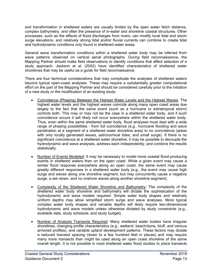and transformation in sheltered waters are usually limited by the open water fetch distance, complex bathymetry, and often the presence of in-water and shoreline coastal structures. Other processes, such as the effects of flood discharges from rivers, can modify local tidal and storm surge elevations, and relatively strong tidal and/or fluvial currents can combine to create tidal and hydrodynamic conditions only found in sheltered water areas.

General wave transformation conditions within a sheltered water body may be inferred from wave patterns observed on vertical aerial photographs. During field reconnaissance, the Mapping Partner should make field observations to identify conditions that affect selection of a study approach. Jackson et al. (2002) have identified characteristics of sheltered water shorelines that may be useful as a guide for field reconnaissance.

There are four technical considerations that may complicate the analyses of sheltered waters beyond typical open-coast analyses. These may require a substantially greater computational effort on the part of the Mapping Partner and should be considered carefully prior to the initiation of a new study or the modification of an existing study:

- Coincidence (Phasing) Between the Highest Water Levels and the Highest Waves: The highest water levels and the highest waves coincide along many open coast areas due largely to the fact that the same event (such as a hurricane or extratropical storm) controls both. This may or may not be the case in a sheltered water body, and if such coincidence occurs it will likely not occur everywhere within the sheltered water body. Thus, even within the same sheltered water body, flood analyses must deal with a wide range of phasing possibilities - from full coincidence (e.g., hurricane flooding and wave penetration at a segment of a sheltered water shoreline area) to no coincidence (areas with only locally generated waves, astronomical tides, and small surge). If there is no significant coincidence at a sheltered water shoreline, it may be possible to decouple the hydrodynamic and wave analyses, address each independently, and combine the results statistically.
- Number of Events Modeled: It may be necessary to model more coastal flood-producing events in sheltered waters than on the open coast. While a given event may cause a similar flood response everywhere along an open coast, the same event may cause greatly different responses in a sheltered water body (e.g., the event may cause high surge and waves along one shoreline segment, but may concurrently cause a negative surge, a set–down, and no onshore waves along another shoreline segment).
- Complexity of the Sheltered Water Shoreline and Bathymetry: The complexity of the sheltered water body shoreline and bathymetry will dictate the sophistication of the hydrodynamic and wave models required. Simple water body shapes and relatively uniform depths may allow simplified storm surge and wave analyses. More typical complex water body shapes and variable depths will likely require two-dimensional hydrodynamic and wave models unless otherwise dictated by study constraints (e.g., available data, study schedule, and study budget).
- Number of Analysis Transects Required: Many sheltered water bodies have irregular shorelines, changing profile characteristics (e.g., wetland, beach/dune, bluff, and various armored profiles), and variable upland development patterns. These factors may dictate a reduced transect spacing (down to a few hundred feet in places) and may require many more transects than might be used along an open coast shoreline of the same overall length. It is not possible in most sheltered water flood studies to place transects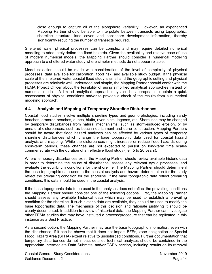close enough to capture all of the alongshore variability. However, an experienced Mapping Partner should be able to interpolate between transects using topographic, shoreline structure, land cover, and backshore development information, thereby significantly reducing the number of transects required.

Sheltered water physical processes can be complex and may require detailed numerical modeling to adequately define the flood hazards. Given the availability and relative ease of use of modern numerical models, the Mapping Partner should consider a numerical modeling approach to a sheltered water study where simpler methods do not appear reliable.

Model selection should be made with consideration of the level of complexity of physical processes, data available for calibration, flood risk, and available study budget. If the physical scale of the sheltered water coastal flood study is small and the geographic setting and physical processes are relatively well understood and simple, the Mapping Partner should confer with the FEMA Project Officer about the feasibility of using simplified analytical approaches instead of numerical models. A limited analytical approach may also be appropriate to obtain a quick assessment of physical conditions and/or to provide a check of the results from a numerical modeling approach.

## <span id="page-17-0"></span>**4.4 Analysis and Mapping of Temporary Shoreline Disturbances**

Coastal flood studies involve multiple shoreline types and geomorphologies, including sandy beaches, armored beaches, dunes, bluffs, river inlets, lagoons, etc. Shorelines may be changed by temporary disturbances from natural mechanisms, such as storm-induced erosion, or by unnatural disturbances, such as beach nourishment and dune construction. Mapping Partners should be aware that flood hazard analyses can be affected by various types of temporary shoreline disturbances which change the base topographic data used for coastal hazard analysis and mapping. While the disturbances might increase or reduce flood hazards during short-term periods, these changes are not expected to persist on long-term time scales commensurate with the duration of an effective flood study (i.e., 5 to 20 years).

Where temporary disturbances exist, the Mapping Partner should review available historic data in order to determine the cause of disturbance, assess any relevant cyclic processes, and evaluate the equilibrium conditions for the shoreline. The Mapping Partner should determine if the base topographic data used in the coastal analysis and hazard determination for the study reflect the prevailing condition for the shoreline. If the base topographic data reflect prevailing conditions, this data should be used in the coastal analysis.

If the base topographic data to be used in the analyses does not reflect the prevailing conditions the Mapping Partner should consider one of the following options. First, the Mapping Partner should assess any available historical data which may be used to establish a prevailing condition for the shoreline. If such historic data are available, they should be used to modify the base topographic data. The mechanics of this decision and rationale justifying it should be clearly documented. In addition to review of historical data, the Mapping Partner can investigate other FEMA studies that may have instituted a process/procedure that can be replicated in this instance as a Best Practice.

As a second option, the Mapping Partner may use the base topographic information, even with the disturbance, if it can be shown that it does not impact BFEs, zone designation or Special Flood Hazard Area (SFHA) extent relative to undisturbed conditions. Further documentation that temporary disturbances do not impact detailed technical analyses should be contained in the appropriate Intermediate Data Submittal and/or TSDN section, including results on its removal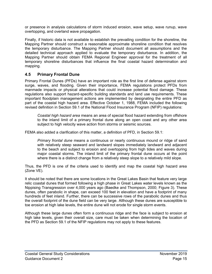<span id="page-18-1"></span>or presence in analysis calculations of storm induced erosion, wave setup, wave runup, wave overtopping, and overland wave propagation.

Finally, if historic data is not available to establish the prevailing condition for the shoreline, the Mapping Partner should construct a reasonable approximate shoreline condition that resolves the temporary disturbance. The Mapping Partner should document all assumptions and the detailed technical approach applied to evaluate the temporary disturbance. In addition, the Mapping Partner should obtain FEMA Regional Engineer approval for the treatment of all temporary shoreline disturbances that influence the final coastal hazard determination and mapping.

# <span id="page-18-0"></span>**4.5 Primary Frontal Dune**

Primary Frontal Dunes (PFDs) have an important role as the first line of defense against storm surge, waves, and flooding. Given their importance, FEMA regulations protect PFDs from manmade impacts or physical alterations that could increase potential flood damage. These regulations also support hazard-specific building standards and land use requirements. These important floodplain management actions are implemented by designating the entire PFD as part of the coastal high hazard area. Effective October 1, 1988, FEMA included the following revised definition in Section 59.1 of the National Flood Insurance Program (NFIP) regulations:

*Coastal high hazard area* means an area of special flood hazard extending from offshore to the inland limit of a primary frontal dune along an open coast and any other area subject to high velocity wave action from storms or seismic sources.

FEMA also added a clarification of this matter, a definition of PFD, in Section 59.1:

*Primary frontal dune* means a continuous or nearly continuous mound or ridge of sand with relatively steep seaward and landward slopes immediately landward and adjacent to the beach and subject to erosion and overtopping from high tides and waves during major coastal storms. The inland limit of the primary frontal dune occurs at the point where there is a distinct change from a relatively steep slope to a relatively mild slope.

Thus, the PFD is one of the criteria used to identify and map the coastal high hazard area (Zone VE).

It should be noted that there are some locations in the Great Lakes Basin that feature very large relic coastal dunes that formed following a high phase in Great Lakes water levels known as the Nippising Transgression over 4,000 years ago (Baedke and Thompson, 2000; Figure 3). These dunes, often parabolic in shape, can exceed 100 feet in elevation and have a footprint of many hundreds of feet inland. Further, there can be successive rows of the parabolic dunes and thus the overall footprint of the dune field can be very large. Although these dunes are susceptible to toe erosion at high lake levels, the entire dune will not erode for single storm events.

Although these large dunes often form a continuous ridge and the face is subject to erosion at high lake levels, given their overall size, care must be taken when determining the location of the PFD as Section 59.1 of the NFIP regulations may not apply to these features.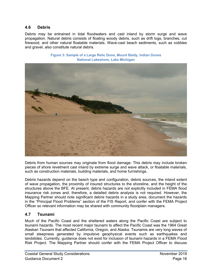#### **4.6 Debris**

Debris may be entrained in tidal floodwaters and cast inland by storm surge and wave propagation. Natural debris consists of floating woody debris, such as drift logs, branches, cut firewood, and other natural floatable materials. Wave-cast beach sediments, such as cobbles and gravel, also constitute natural debris.

<span id="page-19-1"></span>

**Figure 3: Sample of a Large Relic Dune, Mount Baldy, Indian Dunes National Lakeshore, Lake Michigan**

Debris from human sources may originate from flood damage. This debris may include broken pieces of shore revetment cast inland by extreme surge and wave attack, or floatable materials, such as construction materials, building materials, and home furnishings.

Debris hazards depend on the beach type and configuration, debris sources, the inland extent of wave propagation, the proximity of insured structures to the shoreline, and the height of the structures above the BFE. At present, debris hazards are not explicitly included in FEMA flood insurance risk zones and, therefore, a detailed debris analysis is not required. However, the Mapping Partner should note significant debris hazards in a study area, document the hazards in the "Principal Flood Problems" section of the FIS Report, and confer with the FEMA Project Officer so relevant information may be shared with community floodplain managers.

#### <span id="page-19-0"></span>**4.7 Tsunami**

Much of the Pacific Coast and the sheltered waters along the Pacific Coast are subject to tsunami hazards. The most recent major tsunami to affect the Pacific Coast was the 1964 Great Alaskan Tsunami that affected California, Oregon, and Alaska. Tsunamis are very long waves of small steepness generated by impulsive geophysical events such as earthquakes and landslides. Currently, guidance does not exist for inclusion of tsunami hazards in a FEMA Flood Risk Project. The Mapping Partner should confer with the FEMA Project Officer to discuss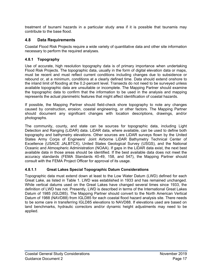<span id="page-20-1"></span>treatment of tsunami hazards in a particular study area if it is possible that tsunamis may contribute to the base flood.

### <span id="page-20-0"></span>**4.8 Data Requirements**

Coastal Flood Risk Projects require a wide variety of quantitative data and other site information necessary to perform the required analyses.

#### **4.8.1 Topography**

Use of accurate, high resolution topography data is of primary importance when undertaking Flood Risk Projects. The topographic data, usually in the form of digital elevation data or maps, must be recent and must reflect current conditions including changes due to subsidence or rebound or, at a minimum, conditions at a clearly defined time. Data should extend onshore to the inland limit of flooding at the 0.2-percent level. Transects do not need to be surveyed unless available topographic data are unsuitable or incomplete. The Mapping Partner should examine the topographic data to confirm that the information to be used in the analysis and mapping represents the actual planimetric features that might affect identification of coastal hazards.

If possible, the Mapping Partner should field-check shore topography to note any changes caused by construction, erosion, coastal engineering, or other factors. The Mapping Partner should document any significant changes with location descriptions, drawings, and/or photographs.

The community, county, and state can be sources for topographic data, including Light Detection and Ranging (LiDAR) data. LiDAR data, where available, can be used to define both topography and bathymetry elevations. Other sources are LiDAR surveys flown by the United States Army Corps of Engineers' Joint Airborne LiDAR Bathymetry Technical Center of Excellence (USACE JALBTCX), United States Geological Survey (USGS), and the National Oceanic and Atmospheric Administration (NOAA). If gaps in the LiDAR data exist, the next best available data in those areas should be identified. If the best available data does not meet the accuracy standards (FEMA Standards 40-49, 158, and 547), the Mapping Partner should consult with the FEMA Project Officer for approval of its usage.

#### **4.8.1.1 Great Lakes Special Topographic Datum Considerations**

Topographic data must extend down at least to the Low Water Datum (LWD) defined for each Great Lake, as listed in [Table 1.](#page-20-1) LWD was established in 1933 and has remained unchanged. While vertical datums used on the Great Lakes have changed several times since 1933, the definition of LWD has not. Presently, LWD is described in terms of the International Great Lakes Datum of 1985 (IGLD85). The Mapping Partner should convert to the North American Vertical Datum of 1988 (NAVD88) from IGLD85 for each coastal flood hazard analysis site. There needs to be some care in transferring IGLD85 elevations to NAVD88. If elevations used are based on land benchmarks, hydraulic correctors and/or dynamic height adjustments may need to be applied.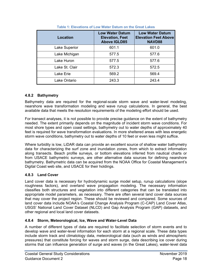| Location       | <b>Low Water Datum</b><br><b>Elevation, Feet</b><br><b>Above IGLD85</b> | <b>Low Water Datum</b><br><b>Elevation Feet Above</b><br><b>NAVD88</b> |  |  |  |
|----------------|-------------------------------------------------------------------------|------------------------------------------------------------------------|--|--|--|
| Lake Superior  | 601.1                                                                   | 601.0                                                                  |  |  |  |
| Lake Michigan  | 577.5                                                                   | 577.6                                                                  |  |  |  |
| Lake Huron     | 577.5                                                                   | 577.6                                                                  |  |  |  |
| Lake St. Clair | 572.3                                                                   | 572.5                                                                  |  |  |  |
| Lake Erie      | 569.2                                                                   | 569.4                                                                  |  |  |  |
| Lake Ontario   | 243.3                                                                   | 243.4                                                                  |  |  |  |

| Table 1: Elevations of Low Water Datum on the Great Lakes |  |  |  |  |  |  |  |
|-----------------------------------------------------------|--|--|--|--|--|--|--|
|-----------------------------------------------------------|--|--|--|--|--|--|--|

#### **4.8.2 Bathymetry**

Bathymetry data are required for the regional-scale storm wave and water-level modeling, nearshore wave transformation modeling and wave runup calculations. In general, the best available data that meets the resolution requirements of the modeling effort should be used.

For transect analyses, it is not possible to provide precise guidance on the extent of bathymetry needed. The extent primarily depends on the magnitude of incident storm wave conditions. For most shore types and open coast settings, bathymetry out to water depths of approximately 40 feet is required for wave transformation evaluations. In more sheltered areas with less energetic storm wave conditions, bathymetry out to water depths of 10 feet or even less might suffice.

Where turbidity is low, LiDAR data can provide an excellent source of shallow water bathymetry data for characterizing the surf zone and inundation zones, from which to extract information along transects. Beach profile surveys, or bottom elevations inferred from nautical charts or from USACE bathymetric surveys, are other alternative data sources for defining nearshore bathymetry. Bathymetric data can be acquired from the NOAA Office for Coastal Management's Digital Coast web site, and USACE for their holdings.

#### **4.8.3 Land Cover**

Land cover data is necessary for hydrodynamic surge model setup, runup calculations (slope roughness factors), and overland wave propagation modeling. The necessary information classifies both structures and vegetation into different categories that can be translated into appropriate model parameters, as necessary. There are often several land cover data sources that may cover the project region. These should be reviewed and compared. Some sources of land cover data include NOAA's Coastal Change Analysis Program (C-CAP) Land Cover Atlas, USGS' National Land Cover Dataset (NLCD) and Gap Analysis Program (GAP) datasets, and other regional and local land cover datasets.

#### **4.8.4 Storm, Meteorological, Ice, Wave and Water-Level Data**

A number of different types of data are required to facilitate selection of storm events and to develop wave and water-level information for each storm at a regional scale. These data types include storm track and climatology data, meteorological data (such as winds and atmospheric pressures) that constitute forcing for waves and storm surge, data describing ice cover during storms that can influence generation of surge and waves (in the Great Lakes), water-level data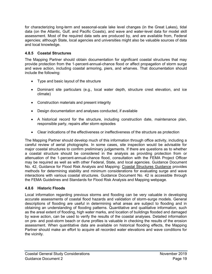<span id="page-22-0"></span>for characterizing long-term and seasonal-scale lake level changes (in the Great Lakes), tidal data (on the Atlantic, Gulf, and Pacific Coasts), and wave and water-level data for model skill assessment. Most of the required data sets are produced by, and are available from, Federal agencies; although State, local agencies and universities might also be valuable sources of data and local knowledge.

## **4.8.5 Coastal Structures**

The Mapping Partner should obtain documentation for significant coastal structures that may provide protection from the 1-percent-annual-chance flood or affect propagation of storm surge and wave action, including coastal armoring, piers, and wharves. That documentation should include the following:

- Type and basic layout of the structure
- Dominant site particulars (e.g., local water depth, structure crest elevation, and ice climate)
- Construction materials and present integrity
- Design documentation and analyses conducted, if available
- A historical record for the structure, including construction date, maintenance plan, responsible party, repairs after storm episodes
- Clear indications of the effectiveness or ineffectiveness of the structure as protection

The Mapping Partner should develop much of this information through office activity, including a careful review of aerial photographs. In some cases, site inspection would be advisable for major coastal structures to confirm preliminary judgements. If there are questions as to whether a coastal structure should be considered in the analysis as providing protection from or attenuation of the 1-percent-annual-chance flood, consultation with the FEMA Project Officer may be required as well as with other Federal, State, and local agencies. Guidance Document No. 42, Guidance for Flood Risk Analysis and Mapping: Coastal Structures Guidance provides methods for determining stability and minimum considerations for evaluating surge and wave interactions with various coastal structures. Guidance Document No. 42 is accessible through the FEMA Guidelines and Standards for Flood Risk Analysis and Mapping webpage.

#### **4.8.6 Historic Floods**

Local information regarding previous storms and flooding can be very valuable in developing accurate assessments of coastal flood hazards and validation of storm-surge models. General descriptions of flooding are useful in determining what areas are subject to flooding and in obtaining an understanding of flooding patterns. Quantitative and qualitative information, such as the areal extent of flooding, high water marks, and location of buildings flooded and damaged by wave action, can be used to verify the results of the coastal analyses. Detailed information on pre- and post-storm beach or dune profiles is valuable in checking the results of the erosion assessment. When quantitative data are available on historical flooding effects, the Mapping Partner should make an effort to acquire all recorded water elevations and wave conditions for the vicinity.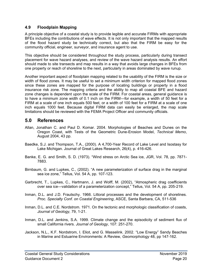### **4.9 Floodplain Mapping**

A principle objective of a coastal study is to provide legible and accurate FIRMs with appropriate BFEs including the contributions of wave effects. It is not only important that the mapped results of the flood hazard study be technically correct, but also that the FIRM be easy for the community official, engineer, surveyor, and insurance agent to use.

This objective should be considered throughout the study process, particularly during transect placement for wave hazard analyses, and review of the wave hazard analysis results. An effort should made to site transects and map results in a way that avoids large changes in BFEs from one property or reach of shoreline to the next, particularly in areas dominated by wave runup.

Another important aspect of floodplain mapping related to the usability of the FIRM is the size or width of flood zones. It may be useful to set a minimum width criterion for mapped flood zones since these zones are mapped for the purpose of locating buildings or property in a flood insurance risk zone. The mapping criteria and the ability to map all coastal BFE and hazard zone changes is dependent upon the scale of the FIRM. For coastal areas, general guidance is to have a minimum zone width of 0.1 inch on the FIRM—for example, a width of 50 feet for a FIRM at a scale of one inch equals 500 feet, or a width of 100 feet for a FIRM at a scale of one inch equals 1000 feet. Because digital FIRM data can easily be enlarged, the map scale limitations should be reviewed with the FEMA Project Officer and community officials.

# <span id="page-23-0"></span>**5.0 References**

- Allan, Jonathan C. and Paul D. Komar. 2004. Morphologies of Beaches and Dunes on the Oregon Coast, with Tests of the Geometric Dune-Erosion Model, *Technical Memo*, August 2004, 43 pp.
- Baedke, S.J. and Thompson, T.A., (2000). A 4,700-Year Record of Lake Level and Isostasy for Lake Michigan. Journal of Great Lakes Research, 26(4), p. 416-426.
- Banke, E. G. and Smith, S. D. (1973). "Wind stress on Arctic Sea ice, JGR, Vol. 78, pp. 7871- 7883.
- Birnbaum, G. and Lupkes, C., (2002). "A new parameterization of surface drag in the marginal sea ice zone," Tellus, Vol. 54 A, pp. 107-123.
- Garbrecht, T., Lupkes, C., Hartmann, J. and Wolff, M. (2002), "Atmospheric drag coefficients over sea ice—validation of a parameterization concept," Tellus, Vol. 54 A, pp. 205-219.
- Inman, D.L. and J.D. Frautschy. 1966. Littoral processes and the development of shorelines. *Proc. Specialty Conf. on Coastal Engineering*, ASCE, Santa Barbara, CA, 511-536
- Inman, D.L. and C.E. Nordstrom. 1971. On the tectonic and morphologic classification of coasts, *Journal of Geology,* 79, 1-21.
- Inman, D.L. and Jenkins, S.A. 1999. Climate change and the episodicity of sediment flux of small California rivers. *Journal of Geology*, 107: 251-270.
- Jackson, N.L., K.F. Nordstrom, I. Eliot, and G. Masselink. 2002. "Low Energy" Sandy Beaches in Marine and Estuarine Environments: A Review, *Geomorphology* 48, pp 147-162.